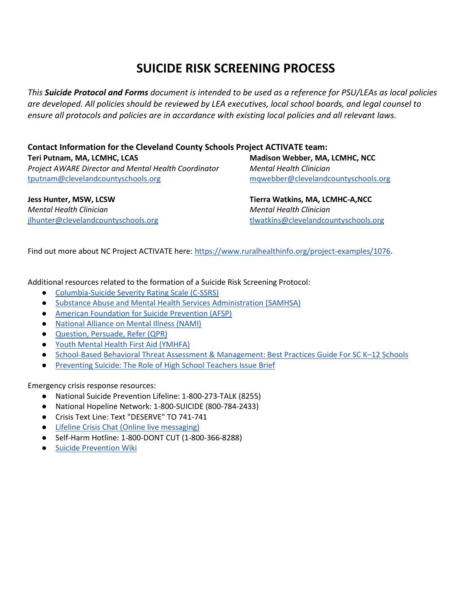## **SUICIDE RISK SCREENING PROCESS**

*This Suicide Protocol and Forms document is intended to be used as a reference for PSU/LEAs as local policies are developed. All policies should be reviewed by LEA executives, local school boards, and legal counsel to ensure all protocols and policies are in accordance with existing local policies and all relevant laws.*

#### **Contact Information for the Cleveland County Schools Project ACTIVATE team:**

**Teri Putnam, MA, LCMHC, LCAS** *Project AWARE Director and Mental Health Coordinator* [tputnam@clevelandcountyschools.org](mailto:tputnam@clevelandcountyschools.org)

**Madison Webber, MA, LCMHC, NCC** *Mental Health Clinician* [mqwebber@clevelandcountyschools.org](mailto:mqwebber@clevelandcountyschools.org)

**Jess Hunter, MSW, LCSW** *Mental Health Clinician* [jlhunter@clevelandcountyschools.org](mailto:jlhunter@clevelandcountyschools.org) **Tierra Watkins, MA, LCMHC-A,NCC** *Mental Health Clinician* [tlwatkins@clevelandcountyschools.org](mailto:tlwatkins@clevelandcountyschools.org)

Find out more about NC Project ACTIVATE here: [https://www.ruralhealthinfo.org/project-examples/1076.](https://www.ruralhealthinfo.org/project-examples/1076)

Additional resources related to the formation of a Suicide Risk Screening Protocol:

- [Columbia-Suicide Severity Rating Scale \(C-SSRS\)](https://www.hrsa.gov/behavioral-health/columbia-suicide-severity-rating-scale-c-ssrs)
- [Substance Abuse and Mental Health Services Administration \(SAMHSA\)](https://www.samhsa.gov/)
- [American Foundation for Suicide Prevention \(AFSP\)](https://afsp.org/chapter/north-carolina)
- [National Alliance on Mental Illness \(NAMI\)](https://nami.org/Home)
- [Question, Persuade, Refer \(QPR\)](https://qprinstitute.com/)
- [Youth Mental Health First Aid \(YMHFA\)](https://www.mentalhealthfirstaid.org/population-focused-modules/youth/)
- [School-Based Behavioral Threat Assessment & Management: Best Practices Guide For SC K](https://ed.sc.gov/districts-schools/school-safety/resources-and-training/safety-resources/sc-school-based-threat-assessment-guide/#:~:text=BEHAVIORAL%20THREAT%20ASSESSMENT%20AND%20MANAGEMENT%20(BTAM),-What%20is%20BTAM&text=BTAM%20is%20a%20fact%2Dbased,threat%20and%20posing%20a%20threat.)-12 Schools
- [Preventing Suicide: The Role of High School Teachers Issue Brief](https://www.sprc.org/resources-programs/role-high-school-teachers-preventing-suicide-sprc-customized-information-page)

Emergency crisis response resources:

- National Suicide Prevention Lifeline: 1-800-273-TALK (8255)
- National Hopeline Network: 1-800-SUICIDE (800-784-2433)
- Crisis Text Line: Text "DESERVE" TO 741-741
- [Lifeline Crisis Chat \(Online live messaging\)](https://suicidepreventionlifeline.org/chat/)
- Self-Harm Hotline: 1-800-DONT CUT (1-800-366-8288)
- [Suicide Prevention Wiki](http://suicideprevention.wikia.com/)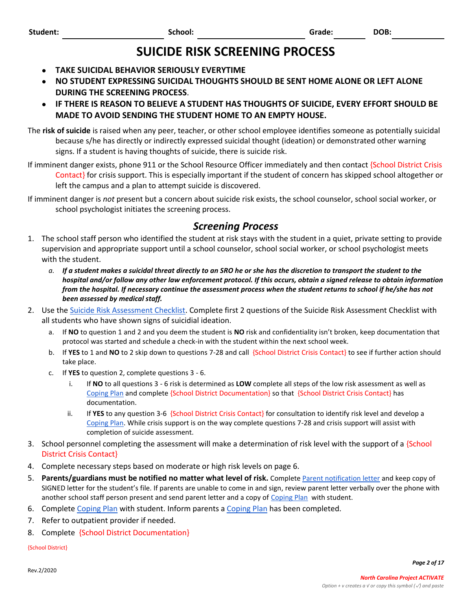- **TAKE SUICIDAL BEHAVIOR SERIOUSLY EVERYTIME**
- **NO STUDENT EXPRESSING SUICIDAL THOUGHTS SHOULD BE SENT HOME ALONE OR LEFT ALONE DURING THE SCREENING PROCESS**.
- **IF THERE IS REASON TO BELIEVE A STUDENT HAS THOUGHTS OF SUICIDE, EVERY EFFORT SHOULD BE MADE TO AVOID SENDING THE STUDENT HOME TO AN EMPTY HOUSE.**
- The **risk of suicide** is raised when any peer, teacher, or other school employee identifies someone as potentially suicidal because s/he has directly or indirectly expressed suicidal thought (ideation) or demonstrated other warning signs. If a student is having thoughts of suicide, there is suicide risk.
- If imminent danger exists, phone 911 or the School Resource Officer immediately and then contact {School District Crisis Contact} for crisis support. This is especially important if the student of concern has skipped school altogether or left the campus and a plan to attempt suicide is discovered.
- If imminent danger is *not* present but a concern about suicide risk exists, the school counselor, school social worker, or school psychologist initiates the screening process.

### *Screening Process*

- 1. The school staff person who identified the student at risk stays with the student in a quiet, private setting to provide supervision and appropriate support until a school counselor, school social worker, or school psychologist meets with the student.
	- *a. If a student makes a suicidal threat directly to an SRO he or she has the discretion to transport the student to the hospital and/or follow any other law enforcement protocol. If this occurs, obtain a signed release to obtain information from the hospital. If necessary continue the assessment process when the student returns to school if he/she has not been assessed by medical staff.*
- 2. Use th[e Suicide Risk Assessment Checklist.](#page-3-0) Complete first 2 questions of the Suicide Risk Assessment Checklist with all students who have shown signs of suicidial ideation.
	- a. If **NO** to question 1 and 2 and you deem the student is **NO** risk and confidentiality isn't broken, keep documentation that protocol was started and schedule a check-in with the student within the next school week.
	- b. If **YES** to 1 and **NO** to 2 skip down to questions 7-28 and call {School District Crisis Contact} to see if further action should take place.
	- c. If **YES** to question 2, complete questions 3 6.
		- i. If **NO** to all questions 3 6 risk is determined as **LOW** complete all steps of the low risk assessment as well as [Coping Plan](#page-11-0) and complete {School District Documentation} so that {School District Crisis Contact} has documentation.
		- ii. If **YES** to any question 3-6 {School District Crisis Contact} for consultation to identify risk level and develop a [Coping Plan.](#page-11-0) While crisis support is on the way complete questions 7-28 and crisis support will assist with completion of suicide assessment.
- 3. School personnel completing the assessment will make a determination of risk level with the support of a {School District Crisis Contact}
- 4. Complete necessary steps based on moderate or high risk levels on page 6.
- 5. **Parents/guardians must be notified no matter what level of risk.** Complet[e Parent notification letter](#page-12-0) and keep copy of SIGNED letter for the student's file. If parents are unable to come in and sign, review parent letter verbally over the phone with another school staff person present and send parent letter and a copy of [Coping Plan](#page-11-0) with student.
- 6. Complete [Coping Plan](#page-11-0) with student. Inform parents a Coping Plan has been completed.
- 7. Refer to outpatient provider if needed.
- 8. Complete {School District Documentation}

{School District}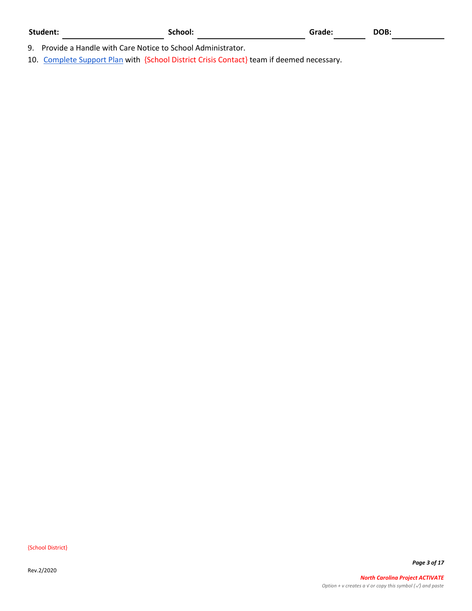- 9. Provide a Handle with Care Notice to School Administrator.
- 10. [Complete Support Plan](#page-14-0) with {School District Crisis Contact} team if deemed necessary.

{School District}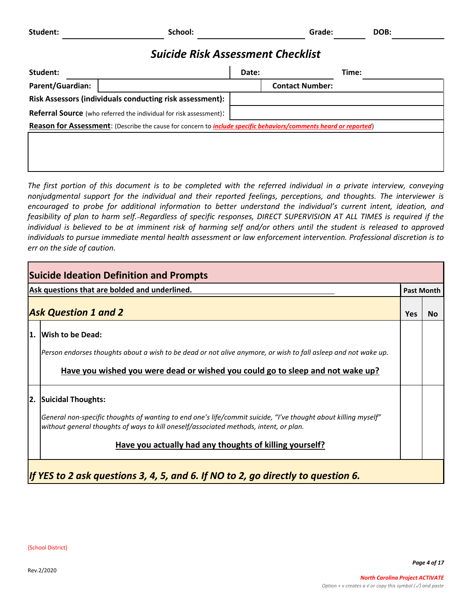## *Suicide Risk Assessment Checklist*

<span id="page-3-0"></span>

| Student:         |                                                                                                                          | Date: |                        | Time: |
|------------------|--------------------------------------------------------------------------------------------------------------------------|-------|------------------------|-------|
| Parent/Guardian: |                                                                                                                          |       | <b>Contact Number:</b> |       |
|                  | <b>Risk Assessors (individuals conducting risk assessment):</b>                                                          |       |                        |       |
|                  | <b>Referral Source</b> (who referred the individual for risk assessment):                                                |       |                        |       |
|                  | Reason for Assessment: (Describe the cause for concern to <i>include specific behaviors/comments heard or reported</i> ) |       |                        |       |
|                  |                                                                                                                          |       |                        |       |
|                  |                                                                                                                          |       |                        |       |
|                  |                                                                                                                          |       |                        |       |

*The first portion of this document is to be completed with the referred individual in a private interview, conveying nonjudgmental support for the individual and their reported feelings, perceptions, and thoughts. The interviewer is encouraged to probe for additional information to better understand the individual's current intent, ideation, and feasibility of plan to harm self. Regardless of specific responses, DIRECT SUPERVISION AT ALL TIMES is required if the individual is believed to be at imminent risk of harming self and/or others until the student is released to approved individuals to pursue immediate mental health assessment or law enforcement intervention. Professional discretion is to err on the side of caution.*

| <b>Suicide Ideation Definition and Prompts</b>                                                                                                                                                                                                                                              |                   |    |
|---------------------------------------------------------------------------------------------------------------------------------------------------------------------------------------------------------------------------------------------------------------------------------------------|-------------------|----|
| Ask questions that are bolded and underlined.                                                                                                                                                                                                                                               | <b>Past Month</b> |    |
| <b>Ask Question 1 and 2</b>                                                                                                                                                                                                                                                                 | Yes               | No |
| 1. Wish to be Dead:<br>Person endorses thoughts about a wish to be dead or not alive anymore, or wish to fall asleep and not wake up.<br>Have you wished you were dead or wished you could go to sleep and not wake up?                                                                     |                   |    |
| 2. Suicidal Thoughts:<br>General non-specific thoughts of wanting to end one's life/commit suicide, "I've thought about killing myself"<br>without general thoughts of ways to kill oneself/associated methods, intent, or plan.<br>Have you actually had any thoughts of killing yourself? |                   |    |
| If YES to 2 ask questions 3, 4, 5, and 6. If NO to 2, go directly to question 6.                                                                                                                                                                                                            |                   |    |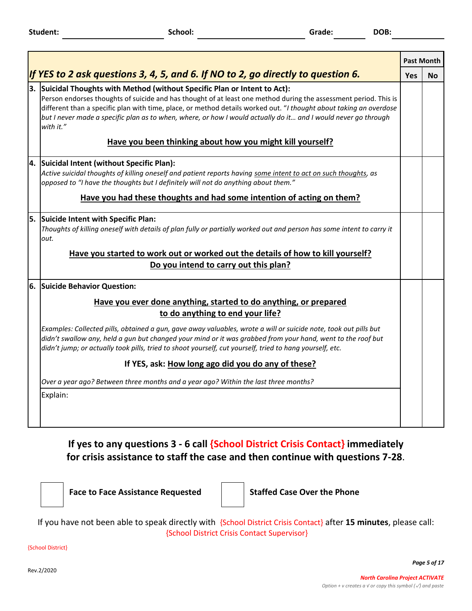*If YES to 2 ask questions 3, 4, 5, and 6. If NO to 2, go directly to question 6.* **Past Month Yes No 3. Suicidal Thoughts with Method (without Specific Plan or Intent to Act):** Person endorses thoughts of suicide and has thought of at least one method during the assessment period. This is different than a specific plan with time, place, or method details worked out. "*I thought about taking an overdose*  but I never made a specific plan as to when, where, or how I would actually do it... and I would never go through *with it."* **Have you been thinking about how you might kill yourself? 4. Suicidal Intent (without Specific Plan):**  *Active suicidal thoughts of killing oneself and patient reports having some intent to act on such thoughts, as opposed to "I have the thoughts but I definitely will not do anything about them."* **Have you had these thoughts and had some intention of acting on them? 5. Suicide Intent with Specific Plan:**  Thoughts of killing oneself with details of plan fully or partially worked out and person has some intent to carry it *out.*  **Have you started to work out or worked out the details of how to kill yourself? Do you intend to carry out this plan? 6. Suicide Behavior Question: Have you ever done anything, started to do anything, or prepared to do anything to end your life?** *Examples: Collected pills, obtained a gun, gave away valuables, wrote a will or suicide note, took out pills but didn't swallow any, held a gun but changed your mind or it was grabbed from your hand, went to the roof but didn't jump; or actually took pills, tried to shoot yourself, cut yourself, tried to hang yourself, etc.* **If YES, ask: How long ago did you do any of these?** *Over a year ago? Between three months and a year ago? Within the last three months?*  Explain:

**If yes to any questions 3 - 6 call {School District Crisis Contact} immediately for crisis assistance to staff the case and then continue with questions 7-28**.



**Face to Face Assistance Requested Staffed Case Over the Phone**

If you have not been able to speak directly with {School District Crisis Contact} after **15 minutes**, please call: {School District Crisis Contact Supervisor}

{School District}

*Page 5 of 17*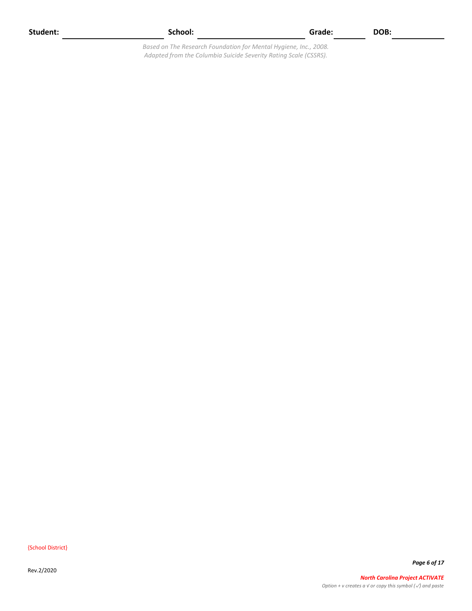{School District}

Rev.2/2020

*Page 6 of 17*

*North Carolina Project ACTIVATE Option + v creates a √ or copy this symbol (*✓*) and paste*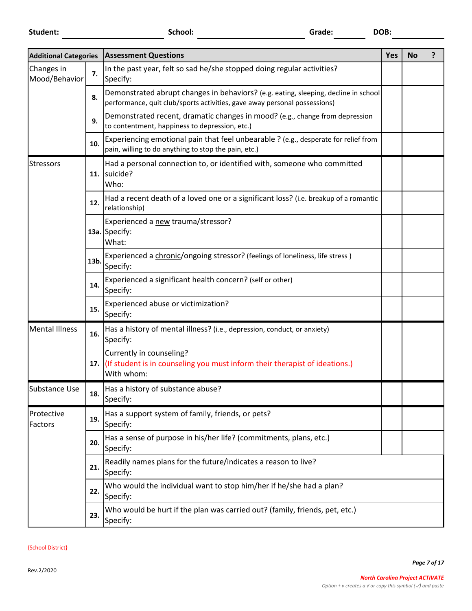**Student: School: Grade: DOB:**

 $\overline{\phantom{a}}$ 

|                             |                                                                                        | Additional Categories   Assessment Questions                                                                                                                     |  | <b>No</b> | ? |
|-----------------------------|----------------------------------------------------------------------------------------|------------------------------------------------------------------------------------------------------------------------------------------------------------------|--|-----------|---|
| Changes in<br>Mood/Behavior | 7.                                                                                     | In the past year, felt so sad he/she stopped doing regular activities?<br>Specify:                                                                               |  |           |   |
|                             | 8.                                                                                     | Demonstrated abrupt changes in behaviors? (e.g. eating, sleeping, decline in school<br>performance, quit club/sports activities, gave away personal possessions) |  |           |   |
|                             | 9.                                                                                     | Demonstrated recent, dramatic changes in mood? (e.g., change from depression<br>to contentment, happiness to depression, etc.)                                   |  |           |   |
|                             | 10.                                                                                    | Experiencing emotional pain that feel unbearable ? (e.g., desperate for relief from<br>pain, willing to do anything to stop the pain, etc.)                      |  |           |   |
| <b>Stressors</b>            |                                                                                        | Had a personal connection to, or identified with, someone who committed<br>11. suicide?<br>Who:                                                                  |  |           |   |
|                             | 12.                                                                                    | Had a recent death of a loved one or a significant loss? (i.e. breakup of a romantic<br>relationship)                                                            |  |           |   |
|                             |                                                                                        | Experienced a new trauma/stressor?<br>13a. Specify:<br>What:                                                                                                     |  |           |   |
|                             | 13b.                                                                                   | Experienced a chronic/ongoing stressor? (feelings of loneliness, life stress)<br>Specify:                                                                        |  |           |   |
|                             | 14.                                                                                    | Experienced a significant health concern? (self or other)<br>Specify:                                                                                            |  |           |   |
|                             | 15.                                                                                    | Experienced abuse or victimization?<br>Specify:                                                                                                                  |  |           |   |
| <b>Mental Illness</b>       | 16.                                                                                    | Has a history of mental illness? (i.e., depression, conduct, or anxiety)<br>Specify:                                                                             |  |           |   |
|                             |                                                                                        | Currently in counseling?<br>17. If If student is in counseling you must inform their therapist of ideations.)<br>With whom:                                      |  |           |   |
| Substance Use               | 18.                                                                                    | Has a history of substance abuse?<br>Specify:                                                                                                                    |  |           |   |
| Protective<br>Factors       | 19.                                                                                    | Has a support system of family, friends, or pets?<br>Specify:                                                                                                    |  |           |   |
|                             | 20.                                                                                    | Has a sense of purpose in his/her life? (commitments, plans, etc.)<br>Specify:                                                                                   |  |           |   |
| 21.<br>Specify:             |                                                                                        | Readily names plans for the future/indicates a reason to live?                                                                                                   |  |           |   |
|                             | Who would the individual want to stop him/her if he/she had a plan?<br>22.<br>Specify: |                                                                                                                                                                  |  |           |   |
|                             | 23.                                                                                    | Who would be hurt if the plan was carried out? (family, friends, pet, etc.)<br>Specify:                                                                          |  |           |   |

{School District}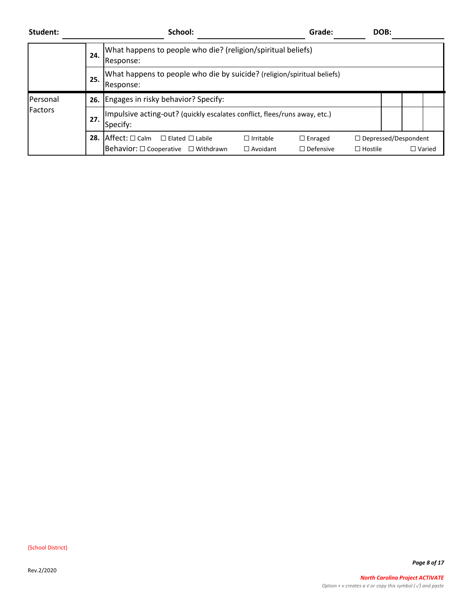**Student: School: Grade: DOB: 24.** What happens to people who die? (religion/spiritual beliefs) Response: **25.** What happens to people who die by suicide? (religion/spiritual beliefs) Response: Personal Factors **26.** Engages in risky behavior? Specify: **27.** Impulsive acting-out? (quickly escalates conflict, flees/runs away, etc.) Specify: 28. Affect: <del>□</del> Calm □ Elated □ Labile □ □ Irritable □ Enraged □ Depressed/Despondent Behavior: ☐ Cooperative ☐ Withdrawn ☐ Avoidant ☐ Defensive ☐ Hostile ☐ Varied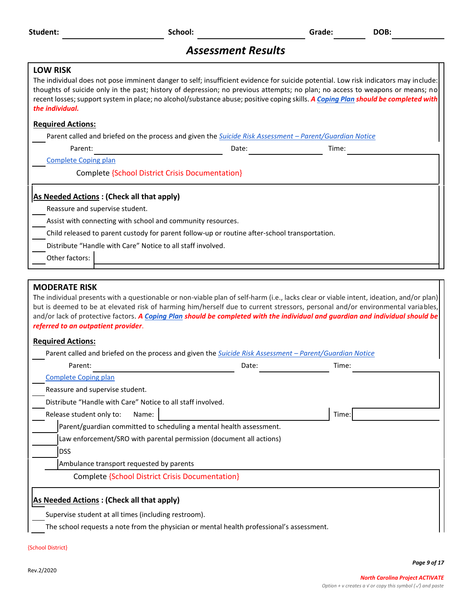|                                                                                                                                                                                                                                                                                                                                                                                                                                                  | <b>Assessment Results</b> |              |
|--------------------------------------------------------------------------------------------------------------------------------------------------------------------------------------------------------------------------------------------------------------------------------------------------------------------------------------------------------------------------------------------------------------------------------------------------|---------------------------|--------------|
| <b>LOW RISK</b><br>The individual does not pose imminent danger to self; insufficient evidence for suicide potential. Low risk indicators may include:<br>thoughts of suicide only in the past; history of depression; no previous attempts; no plan; no access to weapons or means; no<br>recent losses; support system in place; no alcohol/substance abuse; positive coping skills. A Coping Plan should be completed with<br>the individual. |                           |              |
| <b>Required Actions:</b>                                                                                                                                                                                                                                                                                                                                                                                                                         |                           |              |
| Parent called and briefed on the process and given the Suicide Risk Assessment - Parent/Guardian Notice                                                                                                                                                                                                                                                                                                                                          |                           |              |
| Parent:                                                                                                                                                                                                                                                                                                                                                                                                                                          | Date:                     | Time:        |
| <b>Complete Coping plan</b>                                                                                                                                                                                                                                                                                                                                                                                                                      |                           |              |
| Complete {School District Crisis Documentation}                                                                                                                                                                                                                                                                                                                                                                                                  |                           |              |
| <b>As Needed Actions : (Check all that apply)</b>                                                                                                                                                                                                                                                                                                                                                                                                |                           |              |
| Reassure and supervise student.                                                                                                                                                                                                                                                                                                                                                                                                                  |                           |              |
| Assist with connecting with school and community resources.                                                                                                                                                                                                                                                                                                                                                                                      |                           |              |
| Child released to parent custody for parent follow-up or routine after-school transportation.                                                                                                                                                                                                                                                                                                                                                    |                           |              |
| Distribute "Handle with Care" Notice to all staff involved.                                                                                                                                                                                                                                                                                                                                                                                      |                           |              |
| Other factors:                                                                                                                                                                                                                                                                                                                                                                                                                                   |                           |              |
| but is deemed to be at elevated risk of harming him/herself due to current stressors, personal and/or environmental variables,<br>and/or lack of protective factors. A Coping Plan should be completed with the individual and guardian and individual should be<br>referred to an outpatient provider.<br><b>Required Actions:</b><br>Parent called and briefed on the process and given the Suicide Risk Assessment - Parent/Guardian Notice   |                           |              |
| Parent:                                                                                                                                                                                                                                                                                                                                                                                                                                          | Date:                     | Time:        |
| <b>Complete Coping plan</b>                                                                                                                                                                                                                                                                                                                                                                                                                      |                           |              |
| Reassure and supervise student.                                                                                                                                                                                                                                                                                                                                                                                                                  |                           |              |
| Distribute "Handle with Care" Notice to all staff involved.                                                                                                                                                                                                                                                                                                                                                                                      |                           |              |
| Release student only to:<br>Name:                                                                                                                                                                                                                                                                                                                                                                                                                |                           | Time:        |
| Parent/guardian committed to scheduling a mental health assessment.                                                                                                                                                                                                                                                                                                                                                                              |                           |              |
| Law enforcement/SRO with parental permission (document all actions)                                                                                                                                                                                                                                                                                                                                                                              |                           |              |
| <b>DSS</b>                                                                                                                                                                                                                                                                                                                                                                                                                                       |                           |              |
| Ambulance transport requested by parents                                                                                                                                                                                                                                                                                                                                                                                                         |                           |              |
| Complete {School District Crisis Documentation}                                                                                                                                                                                                                                                                                                                                                                                                  |                           |              |
| As Needed Actions : (Check all that apply)                                                                                                                                                                                                                                                                                                                                                                                                       |                           |              |
| Supervise student at all times (including restroom).                                                                                                                                                                                                                                                                                                                                                                                             |                           |              |
| The school requests a note from the physician or mental health professional's assessment.                                                                                                                                                                                                                                                                                                                                                        |                           |              |
|                                                                                                                                                                                                                                                                                                                                                                                                                                                  |                           |              |
| {School District}                                                                                                                                                                                                                                                                                                                                                                                                                                |                           | Page 9 of 17 |

**Student: School: Grade: DOB:**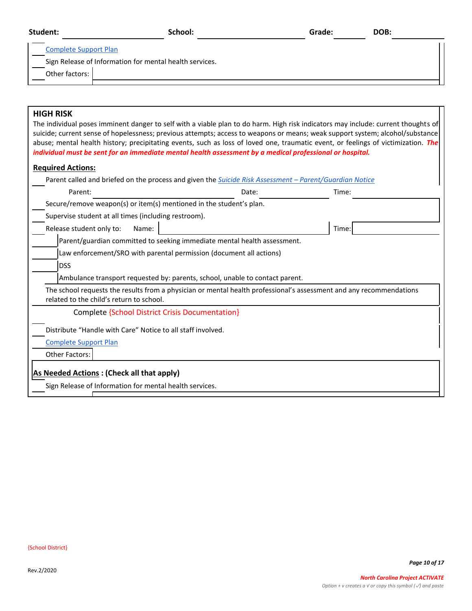| Student:                     | School:                                                 | Grade: | DOB: |  |
|------------------------------|---------------------------------------------------------|--------|------|--|
| <b>Complete Support Plan</b> | Sign Release of Information for mental health services. |        |      |  |
| Other factors:               |                                                         |        |      |  |
|                              |                                                         |        |      |  |

## **HIGH RISK**

| The individual poses imminent danger to self with a viable plan to do harm. High risk indicators may include: current thoughts of<br>suicide; current sense of hopelessness; previous attempts; access to weapons or means; weak support system; alcohol/substance<br>abuse; mental health history; precipitating events, such as loss of loved one, traumatic event, or feelings of victimization. The<br>individual must be sent for an immediate mental health assessment by a medical professional or hospital. |       |       |
|---------------------------------------------------------------------------------------------------------------------------------------------------------------------------------------------------------------------------------------------------------------------------------------------------------------------------------------------------------------------------------------------------------------------------------------------------------------------------------------------------------------------|-------|-------|
| <b>Required Actions:</b>                                                                                                                                                                                                                                                                                                                                                                                                                                                                                            |       |       |
| Parent called and briefed on the process and given the Suicide Risk Assessment – Parent/Guardian Notice                                                                                                                                                                                                                                                                                                                                                                                                             |       |       |
| Parent:                                                                                                                                                                                                                                                                                                                                                                                                                                                                                                             | Date: | Time: |
| Secure/remove weapon(s) or item(s) mentioned in the student's plan.                                                                                                                                                                                                                                                                                                                                                                                                                                                 |       |       |
| Supervise student at all times (including restroom).                                                                                                                                                                                                                                                                                                                                                                                                                                                                |       |       |
| Release student only to:<br>Name:                                                                                                                                                                                                                                                                                                                                                                                                                                                                                   |       | Time: |
| Parent/guardian committed to seeking immediate mental health assessment.                                                                                                                                                                                                                                                                                                                                                                                                                                            |       |       |
| Law enforcement/SRO with parental permission (document all actions)                                                                                                                                                                                                                                                                                                                                                                                                                                                 |       |       |
| <b>DSS</b>                                                                                                                                                                                                                                                                                                                                                                                                                                                                                                          |       |       |
| Ambulance transport requested by: parents, school, unable to contact parent.                                                                                                                                                                                                                                                                                                                                                                                                                                        |       |       |
| The school requests the results from a physician or mental health professional's assessment and any recommendations<br>related to the child's return to school.                                                                                                                                                                                                                                                                                                                                                     |       |       |
| Complete {School District Crisis Documentation}                                                                                                                                                                                                                                                                                                                                                                                                                                                                     |       |       |
| Distribute "Handle with Care" Notice to all staff involved.                                                                                                                                                                                                                                                                                                                                                                                                                                                         |       |       |
| <b>Complete Support Plan</b>                                                                                                                                                                                                                                                                                                                                                                                                                                                                                        |       |       |
| Other Factors:                                                                                                                                                                                                                                                                                                                                                                                                                                                                                                      |       |       |
| <b>As Needed Actions: (Check all that apply)</b>                                                                                                                                                                                                                                                                                                                                                                                                                                                                    |       |       |
| Sign Release of Information for mental health services.                                                                                                                                                                                                                                                                                                                                                                                                                                                             |       |       |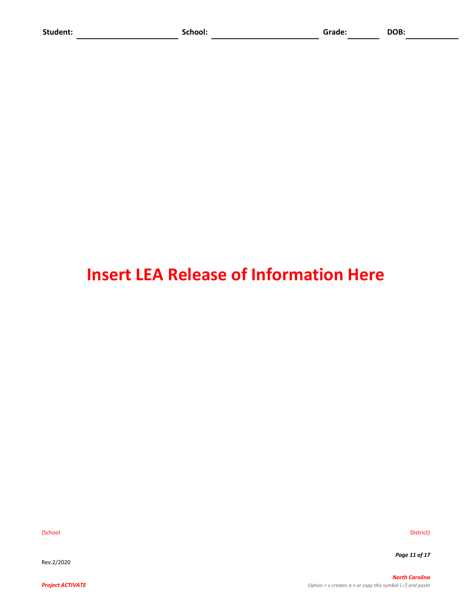# **Insert LEA Release of Information Here**

Rev.2/2020

{School District}

*Page 11 of 17*

*North Carolina Project ACTIVATE Option + v creates a √ or copy this symbol (*✓*) and paste*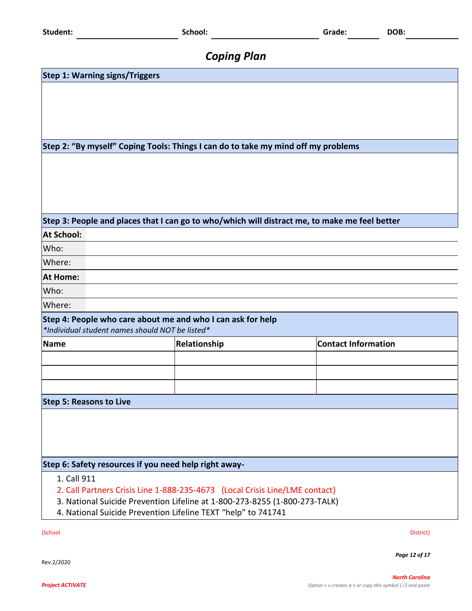| School: | Grade: | DOB: |
|---------|--------|------|
|         |        |      |

*Coping Plan*

<span id="page-11-0"></span>

|                                                 | 00png rum                                                                                     |                            |
|-------------------------------------------------|-----------------------------------------------------------------------------------------------|----------------------------|
| <b>Step 1: Warning signs/Triggers</b>           |                                                                                               |                            |
|                                                 |                                                                                               |                            |
|                                                 |                                                                                               |                            |
|                                                 |                                                                                               |                            |
|                                                 |                                                                                               |                            |
|                                                 | Step 2: "By myself" Coping Tools: Things I can do to take my mind off my problems             |                            |
|                                                 |                                                                                               |                            |
|                                                 |                                                                                               |                            |
|                                                 |                                                                                               |                            |
|                                                 |                                                                                               |                            |
|                                                 | Step 3: People and places that I can go to who/which will distract me, to make me feel better |                            |
| <b>At School:</b>                               |                                                                                               |                            |
| Who:                                            |                                                                                               |                            |
| Where:                                          |                                                                                               |                            |
|                                                 |                                                                                               |                            |
| <b>At Home:</b>                                 |                                                                                               |                            |
| Who:                                            |                                                                                               |                            |
| Where:                                          |                                                                                               |                            |
| *Individual student names should NOT be listed* | Step 4: People who care about me and who I can ask for help                                   |                            |
| <b>Name</b>                                     | Relationship                                                                                  | <b>Contact Information</b> |
|                                                 |                                                                                               |                            |
|                                                 |                                                                                               |                            |
|                                                 |                                                                                               |                            |
|                                                 |                                                                                               |                            |
| <b>Step 5: Reasons to Live</b>                  |                                                                                               |                            |
|                                                 |                                                                                               |                            |
|                                                 |                                                                                               |                            |
|                                                 |                                                                                               |                            |
|                                                 | Step 6: Safety resources if you need help right away-                                         |                            |
| 1. Call 911                                     |                                                                                               |                            |
|                                                 | 2. Call Partners Crisis Line 1-888-235-4673 {Local Crisis Line/LME contact}                   |                            |
|                                                 | 3. National Suicide Prevention Lifeline at 1-800-273-8255 (1-800-273-TALK)                    |                            |
|                                                 | 4. National Suicide Prevention Lifeline TEXT "help" to 741741                                 |                            |
| {School                                         |                                                                                               | District}                  |

*Page 12 of 17*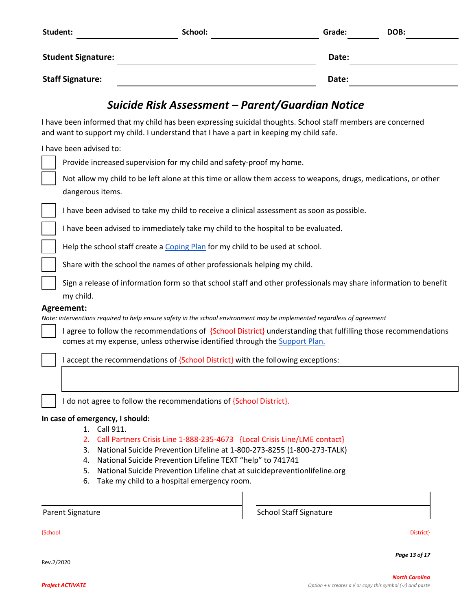<span id="page-12-0"></span>

| Student:                  | School:                                                                                                                                                                                                 | Grade: | DOB: |
|---------------------------|---------------------------------------------------------------------------------------------------------------------------------------------------------------------------------------------------------|--------|------|
| <b>Student Signature:</b> |                                                                                                                                                                                                         | Date:  |      |
| <b>Staff Signature:</b>   |                                                                                                                                                                                                         | Date:  |      |
|                           | Suicide Risk Assessment – Parent/Guardian Notice                                                                                                                                                        |        |      |
|                           | I have been informed that my child has been expressing suicidal thoughts. School staff members are concerned<br>and want to support my child. I understand that I have a part in keeping my child safe. |        |      |
| I have been advised to:   |                                                                                                                                                                                                         |        |      |
|                           | Provide increased supervision for my child and safety-proof my home.                                                                                                                                    |        |      |
|                           | Not allow my child to be left alone at this time or allow them access to weapons, drugs, medications, or other<br>dangerous items.                                                                      |        |      |
|                           | I have been advised to take my child to receive a clinical assessment as soon as possible.                                                                                                              |        |      |
|                           | I have been advised to immediately take my child to the hospital to be evaluated.                                                                                                                       |        |      |
|                           | Help the school staff create a Coping Plan for my child to be used at school.                                                                                                                           |        |      |
|                           | Share with the school the names of other professionals helping my child.                                                                                                                                |        |      |
|                           | Sign a release of information form so that school staff and other professionals may share information to benefit                                                                                        |        |      |
| my child.                 |                                                                                                                                                                                                         |        |      |
| Agreement:                | Note: interventions required to help ensure safety in the school environment may be implemented regardless of agreement                                                                                 |        |      |
|                           | I agree to follow the recommendations of $\{School District\}$ understanding that fulfilling those recommendations<br>comes at my expense, unless otherwise identified through the Support Plan.        |        |      |
|                           | I accept the recommendations of {School District} with the following exceptions:                                                                                                                        |        |      |
|                           |                                                                                                                                                                                                         |        |      |
|                           | I do not agree to follow the recommendations of {School District}.                                                                                                                                      |        |      |
|                           | In case of emergency, I should:                                                                                                                                                                         |        |      |
| 2.                        | 1. Call 911.                                                                                                                                                                                            |        |      |
| 3.                        | Call Partners Crisis Line 1-888-235-4673 {Local Crisis Line/LME contact}<br>National Suicide Prevention Lifeline at 1-800-273-8255 (1-800-273-TALK)                                                     |        |      |
| 4.                        | National Suicide Prevention Lifeline TEXT "help" to 741741                                                                                                                                              |        |      |
| 5.                        | National Suicide Prevention Lifeline chat at suicidepreventionlifeline.org                                                                                                                              |        |      |
| 6.                        | Take my child to a hospital emergency room.                                                                                                                                                             |        |      |

Parent Signature **Contract Contract Contract Contract Contract Contract Contract Contract Contract Contract Contract Contract Contract Contract Contract Contract Contract Contract Contract Contract Contract Contract Contra** 

{School District}

*Page 13 of 17*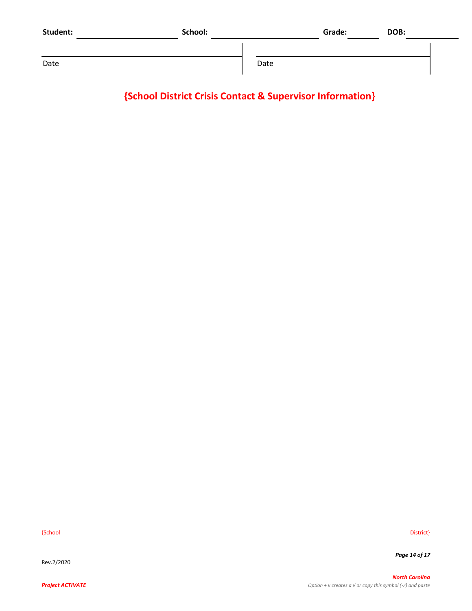| Student: | School: |      | Grade: | DOB: |  |
|----------|---------|------|--------|------|--|
| Date     |         | Date |        |      |  |
|          |         |      |        |      |  |

## **{School District Crisis Contact & Supervisor Information}**

Rev.2/2020

*Page 14 of 17*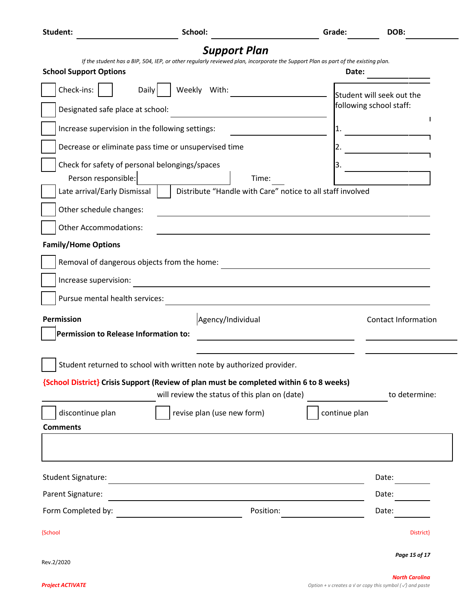<span id="page-14-0"></span>

| Student:                                                                                              | School:                                                                                                                                  |           | Grade:        | DOB:                       |  |  |
|-------------------------------------------------------------------------------------------------------|------------------------------------------------------------------------------------------------------------------------------------------|-----------|---------------|----------------------------|--|--|
| <b>Support Plan</b>                                                                                   |                                                                                                                                          |           |               |                            |  |  |
| <b>School Support Options</b>                                                                         | If the student has a BIP, 504, IEP, or other regularly reviewed plan, incorporate the Support Plan as part of the existing plan.         |           | Date:         |                            |  |  |
| Check-ins:<br><b>Daily</b>                                                                            | Weekly With:                                                                                                                             |           |               | Student will seek out the  |  |  |
| Designated safe place at school:                                                                      |                                                                                                                                          |           |               | following school staff:    |  |  |
| Increase supervision in the following settings:                                                       |                                                                                                                                          |           | 1.            |                            |  |  |
|                                                                                                       | Decrease or eliminate pass time or unsupervised time                                                                                     |           | 2.            |                            |  |  |
| Check for safety of personal belongings/spaces<br>Person responsible:<br>Late arrival/Early Dismissal | Distribute "Handle with Care" notice to all staff involved                                                                               | Time:     | 3.            |                            |  |  |
| Other schedule changes:                                                                               |                                                                                                                                          |           |               |                            |  |  |
| <b>Other Accommodations:</b>                                                                          |                                                                                                                                          |           |               |                            |  |  |
| <b>Family/Home Options</b>                                                                            |                                                                                                                                          |           |               |                            |  |  |
| Removal of dangerous objects from the home:                                                           |                                                                                                                                          |           |               |                            |  |  |
| Increase supervision:                                                                                 |                                                                                                                                          |           |               |                            |  |  |
| Pursue mental health services:                                                                        |                                                                                                                                          |           |               |                            |  |  |
| <b>Permission</b><br>Permission to Release Information to:                                            | Agency/Individual                                                                                                                        |           |               | <b>Contact Information</b> |  |  |
|                                                                                                       | Student returned to school with written note by authorized provider.                                                                     |           |               |                            |  |  |
|                                                                                                       | {School District} Crisis Support (Review of plan must be completed within 6 to 8 weeks)<br>will review the status of this plan on (date) |           |               | to determine:              |  |  |
| discontinue plan<br><b>Comments</b>                                                                   | revise plan (use new form)                                                                                                               |           | continue plan |                            |  |  |
|                                                                                                       |                                                                                                                                          |           |               |                            |  |  |
| <b>Student Signature:</b>                                                                             | <u> 1989 - Andrea Station Barbara, amerikan personal (h. 1989).</u>                                                                      |           |               | Date:                      |  |  |
| Parent Signature:                                                                                     |                                                                                                                                          |           |               | Date:                      |  |  |
| Form Completed by:                                                                                    |                                                                                                                                          | Position: |               | Date:                      |  |  |
| {School                                                                                               |                                                                                                                                          |           |               | District}                  |  |  |
| Rev.2/2020                                                                                            |                                                                                                                                          |           |               | Page 15 of 17              |  |  |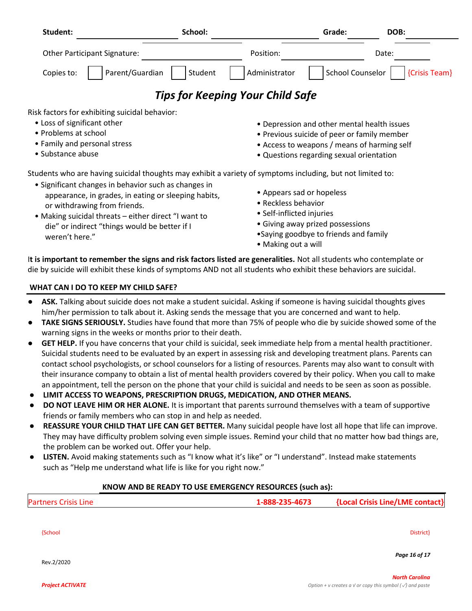| Student:                                   | School:                                 | Grade:                           | DOB: |
|--------------------------------------------|-----------------------------------------|----------------------------------|------|
| <b>Other Participant Signature:</b>        | Position:                               | Date:                            |      |
| Copies to:     Parent/Guardian     Student | Administrator                           | School Counselor   {Crisis Team} |      |
|                                            | <b>Tips for Keeping Your Child Safe</b> |                                  |      |

Risk factors for exhibiting suicidal behavior:

- Loss of significant other
- Problems at school
- Family and personal stress
- Substance abuse
- Depression and other mental health issues
- Previous suicide of peer or family member
- Access to weapons / means of harming self
- Questions regarding sexual orientation

Students who are having suicidal thoughts may exhibit a variety of symptoms including, but not limited to:

- Significant changes in behavior such as changes in appearance, in grades, in eating or sleeping habits, or withdrawing from friends.
- Making suicidal threats either direct "I want to die" or indirect "things would be better if I weren't here."
- Appears sad or hopeless
- Reckless behavior
- Self-inflicted injuries
- Giving away prized possessions
- •Saying goodbye to friends and family
- Making out a will

I**t is important to remember the signs and risk factors listed are generalities.** Not all students who contemplate or die by suicide will exhibit these kinds of symptoms AND not all students who exhibit these behaviors are suicidal.

#### **WHAT CAN I DO TO KEEP MY CHILD SAFE?**

- ASK. Talking about suicide does not make a student suicidal. Asking if someone is having suicidal thoughts gives him/her permission to talk about it. Asking sends the message that you are concerned and want to help.
- **TAKE SIGNS SERIOUSLY.** Studies have found that more than 75% of people who die by suicide showed some of the warning signs in the weeks or months prior to their death.
- **GET HELP.** If you have concerns that your child is suicidal, seek immediate help from a mental health practitioner. Suicidal students need to be evaluated by an expert in assessing risk and developing treatment plans. Parents can contact school psychologists, or school counselors for a listing of resources. Parents may also want to consult with their insurance company to obtain a list of mental health providers covered by their policy. When you call to make an appointment, tell the person on the phone that your child is suicidal and needs to be seen as soon as possible.
- **LIMIT ACCESS TO WEAPONS, PRESCRIPTION DRUGS, MEDICATION, AND OTHER MEANS.**
- **DO NOT LEAVE HIM OR HER ALONE.** It is important that parents surround themselves with a team of supportive friends or family members who can stop in and help as needed.
- **REASSURE YOUR CHILD THAT LIFE CAN GET BETTER.** Many suicidal people have lost all hope that life can improve. They may have difficulty problem solving even simple issues. Remind your child that no matter how bad things are, the problem can be worked out. Offer your help.
- **LISTEN.** Avoid making statements such as "I know what it's like" or "I understand". Instead make statements such as "Help me understand what life is like for you right now."

#### **KNOW AND BE READY TO USE EMERGENCY RESOURCES (such as):**

| <b>Partners Crisis Line</b> | 1-888-235-4673 | {Local Crisis Line/LME contact} |
|-----------------------------|----------------|---------------------------------|
|                             |                |                                 |

Rev.2/2020

{School District}

*Page 16 of 17*